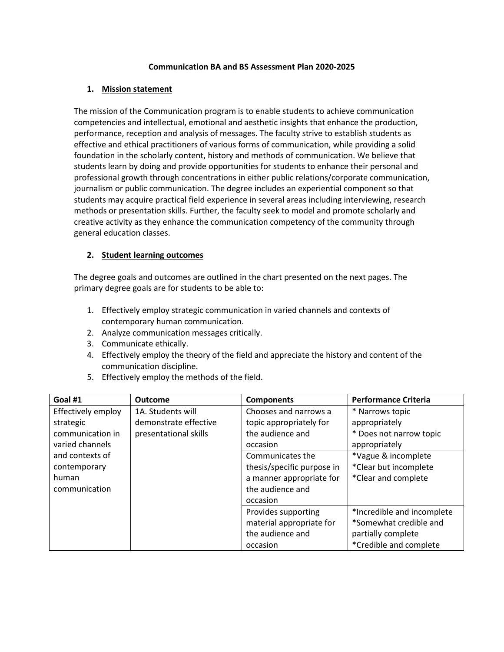## **Communication BA and BS Assessment Plan 2020-2025**

## **1. Mission statement**

The mission of the Communication program is to enable students to achieve communication competencies and intellectual, emotional and aesthetic insights that enhance the production, performance, reception and analysis of messages. The faculty strive to establish students as effective and ethical practitioners of various forms of communication, while providing a solid foundation in the scholarly content, history and methods of communication. We believe that students learn by doing and provide opportunities for students to enhance their personal and professional growth through concentrations in either public relations/corporate communication, journalism or public communication. The degree includes an experiential component so that students may acquire practical field experience in several areas including interviewing, research methods or presentation skills. Further, the faculty seek to model and promote scholarly and creative activity as they enhance the communication competency of the community through general education classes.

## **2. Student learning outcomes**

The degree goals and outcomes are outlined in the chart presented on the next pages. The primary degree goals are for students to be able to:

- 1. Effectively employ strategic communication in varied channels and contexts of contemporary human communication.
- 2. Analyze communication messages critically.
- 3. Communicate ethically.
- 4. Effectively employ the theory of the field and appreciate the history and content of the communication discipline.
- 5. Effectively employ the methods of the field.

| Goal #1            | <b>Outcome</b>        | <b>Components</b>          | <b>Performance Criteria</b> |
|--------------------|-----------------------|----------------------------|-----------------------------|
| Effectively employ | 1A. Students will     | Chooses and narrows a      | * Narrows topic             |
| strategic          | demonstrate effective | topic appropriately for    | appropriately               |
| communication in   | presentational skills | the audience and           | * Does not narrow topic     |
| varied channels    |                       | occasion                   | appropriately               |
| and contexts of    |                       | Communicates the           | *Vague & incomplete         |
| contemporary       |                       | thesis/specific purpose in | *Clear but incomplete       |
| human              |                       | a manner appropriate for   | *Clear and complete         |
| communication      |                       | the audience and           |                             |
|                    |                       | occasion                   |                             |
|                    |                       | Provides supporting        | *Incredible and incomplete  |
|                    |                       | material appropriate for   | *Somewhat credible and      |
|                    |                       | the audience and           | partially complete          |
|                    |                       | occasion                   | *Credible and complete      |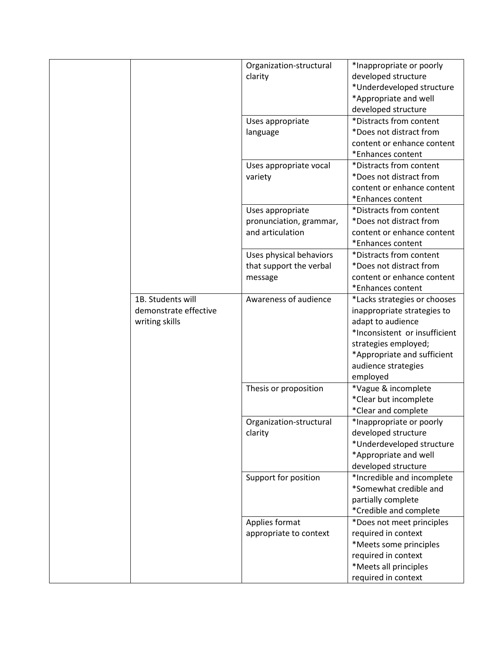|                       | Organization-structural | *Inappropriate or poorly      |
|-----------------------|-------------------------|-------------------------------|
|                       | clarity                 | developed structure           |
|                       |                         | *Underdeveloped structure     |
|                       |                         | *Appropriate and well         |
|                       |                         | developed structure           |
|                       | Uses appropriate        | *Distracts from content       |
|                       | language                | *Does not distract from       |
|                       |                         | content or enhance content    |
|                       |                         | *Enhances content             |
|                       | Uses appropriate vocal  | *Distracts from content       |
|                       | variety                 | *Does not distract from       |
|                       |                         | content or enhance content    |
|                       |                         | *Enhances content             |
|                       | Uses appropriate        | *Distracts from content       |
|                       | pronunciation, grammar, | *Does not distract from       |
|                       | and articulation        | content or enhance content    |
|                       |                         | *Enhances content             |
|                       | Uses physical behaviors | *Distracts from content       |
|                       | that support the verbal | *Does not distract from       |
|                       | message                 | content or enhance content    |
|                       |                         | *Enhances content             |
| 1B. Students will     | Awareness of audience   | *Lacks strategies or chooses  |
| demonstrate effective |                         | inappropriate strategies to   |
| writing skills        |                         | adapt to audience             |
|                       |                         | *Inconsistent or insufficient |
|                       |                         | strategies employed;          |
|                       |                         | *Appropriate and sufficient   |
|                       |                         | audience strategies           |
|                       |                         | employed                      |
|                       | Thesis or proposition   | *Vague & incomplete           |
|                       |                         | *Clear but incomplete         |
|                       |                         | *Clear and complete           |
|                       | Organization-structural | *Inappropriate or poorly      |
|                       | clarity                 | developed structure           |
|                       |                         | *Underdeveloped structure     |
|                       |                         | *Appropriate and well         |
|                       |                         | developed structure           |
|                       | Support for position    | *Incredible and incomplete    |
|                       |                         | *Somewhat credible and        |
|                       |                         | partially complete            |
|                       |                         | *Credible and complete        |
|                       | Applies format          | *Does not meet principles     |
|                       | appropriate to context  | required in context           |
|                       |                         | *Meets some principles        |
|                       |                         | required in context           |
|                       |                         | *Meets all principles         |
|                       |                         | required in context           |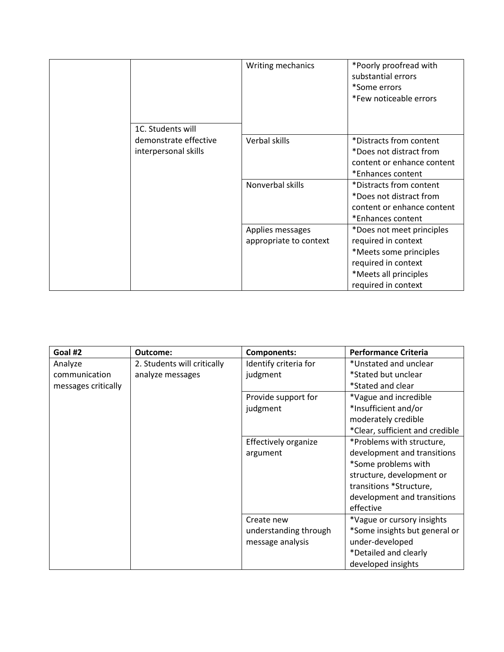|                       | Writing mechanics      | *Poorly proofread with<br>substantial errors<br>*Some errors<br>*Few noticeable errors |
|-----------------------|------------------------|----------------------------------------------------------------------------------------|
| 1C. Students will     |                        |                                                                                        |
| demonstrate effective | Verbal skills          | *Distracts from content                                                                |
| interpersonal skills  |                        | *Does not distract from                                                                |
|                       |                        | content or enhance content                                                             |
|                       |                        | *Enhances content                                                                      |
|                       | Nonverbal skills       | *Distracts from content                                                                |
|                       |                        | *Does not distract from                                                                |
|                       |                        | content or enhance content                                                             |
|                       |                        | *Enhances content                                                                      |
|                       | Applies messages       | *Does not meet principles                                                              |
|                       | appropriate to context | required in context                                                                    |
|                       |                        | *Meets some principles                                                                 |
|                       |                        | required in context                                                                    |
|                       |                        | *Meets all principles                                                                  |
|                       |                        | required in context                                                                    |

| Goal #2             | Outcome:                    | <b>Components:</b>    | <b>Performance Criteria</b>     |
|---------------------|-----------------------------|-----------------------|---------------------------------|
| Analyze             | 2. Students will critically | Identify criteria for | *Unstated and unclear           |
| communication       | analyze messages            | judgment              | *Stated but unclear             |
| messages critically |                             |                       | *Stated and clear               |
|                     |                             | Provide support for   | *Vague and incredible           |
|                     |                             | judgment              | *Insufficient and/or            |
|                     |                             |                       | moderately credible             |
|                     |                             |                       | *Clear, sufficient and credible |
|                     |                             | Effectively organize  | *Problems with structure,       |
|                     |                             | argument              | development and transitions     |
|                     |                             |                       | *Some problems with             |
|                     |                             |                       | structure, development or       |
|                     |                             |                       | transitions *Structure,         |
|                     |                             |                       | development and transitions     |
|                     |                             |                       | effective                       |
|                     |                             | Create new            | *Vague or cursory insights      |
|                     |                             | understanding through | *Some insights but general or   |
|                     |                             | message analysis      | under-developed                 |
|                     |                             |                       | *Detailed and clearly           |
|                     |                             |                       | developed insights              |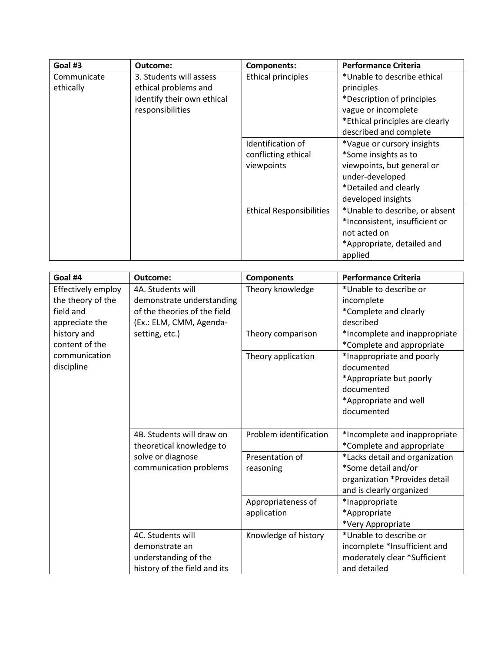| Goal #3                                                                                                                       | Outcome:                  | <b>Components:</b>                                                                                                                                          | <b>Performance Criteria</b>                                                                                                                        |
|-------------------------------------------------------------------------------------------------------------------------------|---------------------------|-------------------------------------------------------------------------------------------------------------------------------------------------------------|----------------------------------------------------------------------------------------------------------------------------------------------------|
| Communicate<br>3. Students will assess<br>ethically<br>ethical problems and<br>identify their own ethical<br>responsibilities | <b>Ethical principles</b> | *Unable to describe ethical<br>principles<br>*Description of principles<br>vague or incomplete<br>*Ethical principles are clearly<br>described and complete |                                                                                                                                                    |
|                                                                                                                               |                           | Identification of<br>conflicting ethical<br>viewpoints                                                                                                      | *Vague or cursory insights<br>*Some insights as to<br>viewpoints, but general or<br>under-developed<br>*Detailed and clearly<br>developed insights |
|                                                                                                                               |                           | <b>Ethical Responsibilities</b>                                                                                                                             | *Unable to describe, or absent<br>*Inconsistent, insufficient or<br>not acted on<br>*Appropriate, detailed and<br>applied                          |

| Goal #4            | Outcome:                     | <b>Components</b>      | <b>Performance Criteria</b>    |
|--------------------|------------------------------|------------------------|--------------------------------|
| Effectively employ | 4A. Students will            | Theory knowledge       | *Unable to describe or         |
| the theory of the  | demonstrate understanding    |                        | incomplete                     |
| field and          | of the theories of the field |                        | *Complete and clearly          |
| appreciate the     | (Ex.: ELM, CMM, Agenda-      |                        | described                      |
| history and        | setting, etc.)               | Theory comparison      | *Incomplete and inappropriate  |
| content of the     |                              |                        | *Complete and appropriate      |
| communication      |                              | Theory application     | *Inappropriate and poorly      |
| discipline         |                              |                        | documented                     |
|                    |                              |                        | *Appropriate but poorly        |
|                    |                              |                        | documented                     |
|                    |                              |                        | *Appropriate and well          |
|                    |                              |                        | documented                     |
|                    |                              |                        |                                |
|                    | 4B. Students will draw on    | Problem identification | *Incomplete and inappropriate  |
|                    | theoretical knowledge to     |                        | *Complete and appropriate      |
|                    | solve or diagnose            | Presentation of        | *Lacks detail and organization |
|                    | communication problems       | reasoning              | *Some detail and/or            |
|                    |                              |                        | organization *Provides detail  |
|                    |                              |                        | and is clearly organized       |
|                    |                              | Appropriateness of     | *Inappropriate                 |
|                    |                              | application            | *Appropriate                   |
|                    |                              |                        | *Very Appropriate              |
|                    | 4C. Students will            | Knowledge of history   | *Unable to describe or         |
|                    | demonstrate an               |                        | incomplete *Insufficient and   |
|                    | understanding of the         |                        | moderately clear *Sufficient   |
|                    | history of the field and its |                        | and detailed                   |